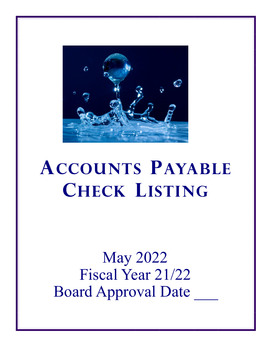

## **ACCOUNTS PAYABLE CHECK LISTING**

May 2022 Fiscal Year 21/22 Board Approval Date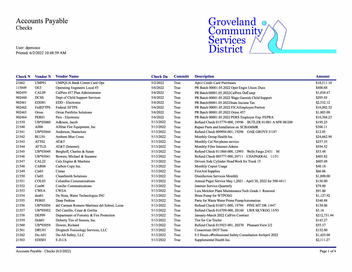Accounts Payable Checks

User: dpercoco Printed: 6/2/2022 10:48:59 AM



|        |              | <b>Check N</b> Vendor N Vendor Name          | <b>Check Da</b> | <b>Committ</b> | <b>Description</b>                                            | <b>Amount</b> |
|--------|--------------|----------------------------------------------|-----------------|----------------|---------------------------------------------------------------|---------------|
| 21662  | UMP01        | <b>UMPQUA Bank Comm Card Ops</b>             | 5/2/2022        | True           | April Credit Card Purchases                                   | \$18,311.10   |
| 115849 | OE3          | Operating Engineers Local #3                 | 5/6/2022        | True           | PR Batch 00001.05.2022 Oper Engin Union Dues                  | \$400.68      |
| 902459 | CAL09        | CalPers 457 Plan Administrator               | 5/6/2022        | True           | PR Batch 00001.05.2022CalPers DeComp                          | \$1,038.47    |
| 902460 | <b>DCSS</b>  | Dept of Child Support Services               | 5/6/2022        | True           | PR Batch 00001.05.2022 Wage Garnish Child Support             | \$205.03      |
| 902461 | EDD01        | EDD - Electronic                             | 5/6/2022        | True           | PR Batch 00001.05.2022State Income Tax                        | \$2,532.12    |
| 902462 | FedEFTPS     | <b>Federal EFTPS</b>                         | 5/6/2022        | True           | PR Batch 00001.05.2022 FICAEmployee Portion                   | \$16,092.32   |
| 902463 | Orion        | <b>Orion Portfolio Solutions</b>             | 5/6/2022        | True           | PR Batch 00001.05.2022 Orion 457                              | \$1,805.00    |
| 902464 | <b>PER01</b> | Pers - Electronic                            | 5/6/2022        | True           | PR Batch 00001.05.2022 PERS Employer Exp. PEPRA               | \$10,368.23   |
| 21539  | UB*03060     | Adkison, Jacob                               | 5/13/2022       | True           | Refund Check 015779-000, 19596 BUTLER 01/001 A MW 08/288      | \$195.25      |
| 21540  | All06        | AllStar Fire Equipment, Inc                  | 5/13/2022       | True           | Repair Parts and Installation on SCBAMMR                      | \$306.11      |
| 21541  | UB*03044     | Anderson, Hannelore                          | 5/13/2022       | True           | Refund Check 009894-001, 19296 OAK GROVE 5/187                | \$12.05       |
| 21542  | BLU01        | <b>Anthem Blue Cross</b>                     | 5/13/2022       | True           | Monthly Group Health Ins.                                     | \$24,662.90   |
| 21543  | ATT02        | AT&T                                         | 5/13/2022       | True           | Monthly Cal Net phone service                                 | \$257.35      |
| 21544  | <b>ATTLD</b> | $AT&T$ (Internet)                            | 5/13/2022       | True           | Monthly Fiber Internet-Admin                                  | \$594.52      |
| 21545  | UB*03048     | Berghoff, Charles & Susan                    | 5/13/2022       | True           | Refund Check 011860-000, 12993 Wells Fargo 2/431 M            | \$53.48       |
| 21546  | UB*03041     | Bowers, Michael & Suzanne                    | 5/13/2022       | True           | Refund Check 005777-000, 20711 CHAPARRAL 11/51                | \$403.82      |
| 21547  | CAL22        | Cals Engine & Machine                        | 5/13/2022       | True           | Drivers Side Cylinder Head Work for Truck 15                  | \$605.08      |
| 21548  | CAR06        | Carbon Copy Inc.                             | 5/13/2022       | True           | Monthly Copier Usage                                          | \$40.18       |
| 21549  | Cin01        | Cintas                                       | 5/13/2022       | True           | <b>FirstAid Supplies</b>                                      | \$66.06       |
| 21550  | Cle03        | <b>CleanSmith Solutions</b>                  | 5/13/2022       | True           | <b>Disinfection Services Monthly</b>                          | \$1,800.00    |
| 21551  | COL03        | Columbia Communications                      | 5/13/2022       | True           | Annual Pager Service May 1,2021 - April 30, 2022 for 588-4411 | \$156.00      |
| 21552  | Con06        | <b>Conifer Communications</b>                | 5/13/2022       | True           | <b>Internet Service-Ouarterly</b>                             | \$79.80       |
| 21553  | <b>CWEA</b>  | <b>CWEA</b>                                  | 5/13/2022       | True           | Luis Melchor Plant Maintenance Tech Grade 1 Renewal           | \$91.00       |
| 21554  | den01        | De Nora, Water Technologies INC              | 5/13/2022       | True           | <b>Brine Pump for WTPOSG</b>                                  | \$1,127.92    |
| 21555  | <b>PER05</b> | Dean Perkins                                 | 5/13/2022       | True           | Parts for Waste Water Prime Pump Automation                   | \$340.88      |
| 21556  | UB*03056     | del Carmen Romero Martinez del Sobral, Luisa | 5/13/2022       | True           | Refund Check 016871-000, 19794 PINE MT DR 1/447               | \$138.06      |
| 21557  | UB*03052     | Del Castillo, Cesar & Gerlita                | 5/13/2022       | True           | Refund Check 016709-000, 20160 LWR SKYRDG 15/93               | \$3.16        |
| 21558  | DEP09        | Department of Forestry & Fire Protection     | 5/13/2022       | True           | January-March 2022 CalFire Contract                           | \$212,731.44  |
| 21559  | Doh01        | Doherty Tire of Sonora, Inc.                 | 5/13/2022       | True           | Tire for Car Trailer                                          | \$143.27      |
| 21560  | UB*03058     | Dowen, Richard                               | 5/13/2022       | True           | Refund Check 015923-001, 20270 Pleasant View 2/2              | \$55.37       |
| 21561  | DRU01        | Drugtech Toxicology Services, LLC            | 5/13/2022       | True           | <b>Consortium DOT Tests</b>                                   | \$152.00      |
| 21562  | $Du-A01$     | Du-All Safety, LLC                           | 5/13/2022       | True           | 9.5 Hours oProfessional Safety Consultation forApril 2022     | \$1,425.00    |
| 21563  | EDIS01       | E.D.I.S.                                     | 5/13/2022       | True           | Supplemental Health Ins.                                      | \$2,111.27    |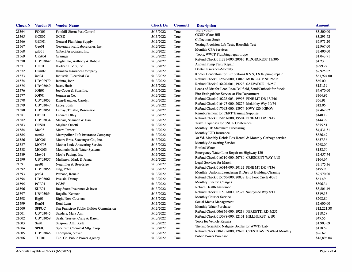| <b>Check N</b> | <b>Vendor N</b>    | <b>Vendor Name</b>                       | <b>Check Da</b> | <b>Committ</b> | <b>Description</b>                                            | <b>Amount</b> |
|----------------|--------------------|------------------------------------------|-----------------|----------------|---------------------------------------------------------------|---------------|
| 21564          | <b>FOO01</b>       | Foothill-Sierra Pest Control             | 5/13/2022       | True           | Pest Control                                                  | \$3,500.00    |
| 21565          | GCS <sub>02</sub>  | GCSD                                     | 5/13/2022       | True           | <b>GCSD Water Bill</b>                                        | \$3,291.62    |
| 21566          | GEN01              | General Plumbing Supply                  | 5/13/2022       | True           | <b>Collections Stock</b>                                      | \$6,971.20    |
| 21567          | Geo01              | GeoAnalytical Laboratories, Inc.         | 5/13/2022       | True           | Testing Precision Lab Tests, Biosolids Test                   | \$2,967.00    |
| 21568          | gilb <sub>01</sub> | Gilbert Associates, Inc.                 | 5/13/2022       | True           | Monthly CPA Services                                          | \$3,400.00    |
| 21569          | GRA04              | Grainger                                 | 5/13/2022       | True           | Tools, WWTP Plumbing repair, rope                             | \$1,043.91    |
| 21570          | UB*03042           | Guglielmo, Anthony & Bobbie              | 5/13/2022       | True           | Refund Check 011221-000, 20016 RIDGECREST 13/306              | \$4.23        |
| 21571          | HIT01              | Hi-Tech E V S, Inc                       | 5/13/2022       | True           | Annual Pump Test / Repair                                     | \$999.22      |
| 21572          | Hum02              | Humana Insurance Company                 | 5/13/2022       | True           | Dental Insurance-Monthly                                      | \$2,925.02    |
| 21573          | ind04              | Industrial Electrical Co.                | 5/13/2022       | True           | Kohler Generators for Lift Stations 8 & 9, LS #7 pump repair  | \$61,924.00   |
| 21574          | UB*02979           | Jacinto, John                            | 5/13/2022       | True           | Refund Check 012976-000, 13046 MOKELUMNE 2/205                | \$60.00       |
| 21575          | UB*03049           | Jaser, Harb                              | 5/13/2022       | True           | Refund Check 016490-001, 19223 SALVADOR 5/25C                 | \$121.19      |
| 21576          | JOE01              | Joe Cover & Sons Inc.                    | 5/13/2022       | True           | Loads of Dirt for Leon Rose Ballfield, Sand/Cutback for Stock | \$4,670.00    |
| 21577          | JOR01              | Jorgensen Co.                            | 5/13/2022       | True           | Fire Extinguisher Service at Fire Department                  | \$304.95      |
| 21578          | UB*03053           | King-Baugher, Carolyn                    | 5/13/2022       | True           | Refund Check 010228-003, 19995 PINE MT DR 13/246              | \$66.91       |
| 21579          | UB*03047           | Lacey, Josh                              | 5/13/2022       | True           | Refund Check 016497-000, 20876 Mckinley Way 10/74             | \$12.06       |
| 21580          | UB*03051           | Lemay, Trustee, Rosemarie                | 5/13/2022       | True           | Refund Check 017093-000, 18974 HWY 120 #GROV                  | \$2,462.62    |
| 21581          | OTL01              | Leonard Otley                            | 5/13/2022       | True           | Reimbursement for CERT Training Supplies                      | \$140.19      |
| 21582          | UB*03034           | Mcnair, Shannon & Dan                    | 5/13/2022       | True           | Refund Check 015851-000, 19504 PINE MT DR 1/415               | \$144.99      |
| 21583          | ORS01              | Meghan Orsetti                           | 5/13/2022       | True           | Travel Expenses for SNUG Conference                           | \$375.51      |
| 21584          | Met <sub>03</sub>  | Metro Presort                            | 5/13/2022       | True           | Monthly UB Statement Processing                               | \$4,431.51    |
| 21585          | met <sub>02</sub>  | Metropolitan Life Insurance Company      | 5/13/2022       | True           | Monthly LTD Insurance                                         | \$386.49      |
| 21586          | <b>MOO01</b>       | Moore Bros. Scavenger Co., Inc.          | 5/13/2022       | True           | 30 Yd. Monthly Debris Box Rental & Monthly Garbage service    | \$657.36      |
| 21587          | MOT03              | Mother Lode Answering Service            | 5/13/2022       | True           | Monthly Answering Service                                     | \$268.00      |
| 21588          | MOU03              | Mountain Oasis Water Systems             | 5/13/2022       | True           | <b>Bottled Water</b>                                          | \$138.50      |
| 21589          | Moy01              | Moyle Paving, Inc.                       | 5/13/2022       | True           | Emergency Water Line Repair on Highway 120                    | \$2,457.74    |
| 21590          | UB*03057           | Mullaney, Mark & Jenna                   | 5/13/2022       | True           | Refund Check 016510-000, 20780 CRESCENT WAY 4/18              | \$104.64      |
| 21591          | neu01              | Neumiller & Beardslee                    | 5/13/2022       | True           | Legal Services for March                                      | \$3,175.36    |
| 21592          | UB*03055           | Ong, Peter                               | 5/13/2022       | True           | Refund Check 016014-000, 20132 PINE MT DR 4/136               | \$195.90      |
| 21593          | per <sub>04</sub>  | Percoco, Ronald                          | 5/13/2022       | True           | Monthly Uniform Laundering & District Building Cleaning       | \$2,570.00    |
| 21594          | UB*03061           | Pesusic, Danny                           | 5/13/2022       | True           | Refund Check 015760-000, 20838 Big Foot Circle 4/375          | \$61.49       |
| 21595          | PGE01              | PG&E                                     | 5/13/2022       | True           | Monthly Electric Charges                                      | \$806.34      |
| 21596          | SUE01              | Ray Suess Insurance & Invst              | 5/13/2022       | True           | Retiree Health Insurance                                      | \$3,801.49    |
| 21597          | UB*03054           | Regalia, Kenneth                         | 5/13/2022       | True           | Refund Check 011501-000, 12322 Sunnyside Way 8/11             | \$319.15      |
| 21598          | Rig01              | <b>Right Now Couriers</b>                | 5/13/2022       | True           | Monthly Courier Service                                       | \$208.80      |
| 21599          | Ron01              | Roni Lynn                                | 5/13/2022       | True           | Social Media Management                                       | \$2,600.00    |
| 21600          | <b>SFPUC</b>       | San Francisco Public Utilties Commission | 5/13/2022       | True           | Monthly Water Purchase                                        | \$12,221.38   |
| 21601          | UB*03045           | Sanders, Mary Ann                        | 5/13/2022       | True           | Refund Check 006856-000, 19219 FERRETTI RD 5/255              | \$118.59      |
| 21602          | UB*03059           | Seals, Trustee, Craig & Karen            | 5/13/2022       | True           | Refund Check 015098-000, 12101 HILLHURST 8/191                | \$49.55       |
| 21603          | Sna01              | Snap-on Attn: Kyle                       | 5/13/2022       | True           | Tools for Vehicle Repairs                                     | \$1,903.69    |
| 21604          | SPE03              | Spectrum Chemical Mfg. Corp.             | 5/13/2022       | True           | Thermo Scientific Nalgene Bottles for WWTP Lab                | \$118.68      |
| 21605          | UB*03046           | Thompson, Steven                         | 5/13/2022       | True           | Refund Check 006185-000, 12693 CRESTHAVEN 4/484 Monthly       | \$96.62       |
| 21606          | <b>TUO01</b>       | Tuo. Co. Public Power Agency             | 5/13/2022       | True           | <b>Public Power Purchase</b>                                  | \$16,896.04   |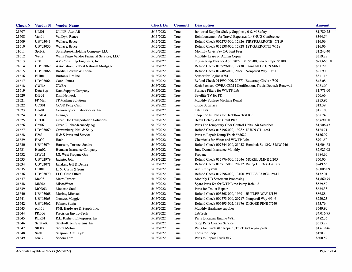|       |                   | <b>Check N</b> Vendor N Vendor Name        | <b>Check Da</b> | <b>Committ</b> | <b>Description</b>                                             | <b>Amount</b> |
|-------|-------------------|--------------------------------------------|-----------------|----------------|----------------------------------------------------------------|---------------|
| 21607 | <b>ULI01</b>      | <b>ULINE, Attn AR</b>                      | 5/13/2022       | True           | Janitorial Supplies/Safety Supplies, 0 & M Safety              | \$1,780.75    |
| 21608 | Van01             | VanDyk, Renee                              | 5/13/2022       | True           | Reimbursement for Travel Expenses for SNUG Conference          | \$364.54      |
| 21609 | UB*03043          | Wallace, Bruce                             | 5/13/2022       | True           | Refund Check 007275-000, 12926 FIRSTGARROTE 7/119              | \$16.06       |
| 21610 | UB*03050          | Wallace, Bruce                             | 5/13/2022       | True           | Refund Check 012138-000, 12928 1ST GARROTTE 7/118              | \$16.06       |
| 21611 | Sprbrk            | Springbrook Holding Company LLC            | 5/13/2022       | True           | Monthly Civic Pay C/C Pmt Fees                                 | \$1,243.40    |
| 21612 | Wells             | Wells Fargo Vendor Financial Services, LLC | 5/13/2022       | True           | Monthly Lease on Admin Copier                                  | \$359.28      |
| 21613 | am01              | AM Consulting Engineers, Inc.              | 5/19/2022       | True           | Engineering Fees for April 2022, BC \$5500, Sewer Impr. \$5100 | \$22,666.18   |
| 21614 | UB*03067          | Association, Federal National Mortgage     | 5/19/2022       | True           | Refund Check 016929-000, 12438 Tannahill Dr 1/59 M/60          | \$31.29       |
| 21615 | UB*03066          | Brodie, Edward & Tonna                     | 5/19/2022       | True           | Refund Check 012405-000, 20791 Nonpareil Way 10/31             | \$95.90       |
| 21616 | <b>BUR01</b>      | Burton's Fire Inc                          | 5/19/2022       | True           | Sensor for Engine #781                                         | \$311.16      |
| 21617 | UB*03064          | Conn, James                                | 5/19/2022       | True           | Refund Check 014990-000, 20771 Buttercup Circle 4/300          | \$48.08       |
| 21618 | <b>CWEA</b>       | <b>CWEA</b>                                | 5/19/2022       | True           | Zach Pacheco CWEA CSM I Certification, Travis Deutsch Renewal  | \$283.00      |
| 21619 | Data Sup          | Data Support Company                       | 5/19/2022       | True           | Furnace Filters for WWTP Lab                                   | \$1,773.00    |
| 21620 | DIS <sub>01</sub> | Dish Network                               | 5/19/2022       | True           | Satellite TV for FD                                            | \$60.66       |
| 21621 | FP Mail           | FP Mailing Solutions                       | 5/19/2022       | True           | Monthly Postage Machine Rental                                 | \$213.95      |
| 21622 | GCS01             | <b>GCSD Petty Cash</b>                     | 5/19/2022       | True           | Office Supplies                                                | \$13.39       |
| 21623 | Geo01             | GeoAnalytical Laboratories, Inc.           | 5/19/2022       | True           | Lab Tests                                                      | \$151.00      |
| 21624 | GRA04             | Grainger                                   | 5/19/2022       | True           | Shop Too1s, Parts for Backflow Test Kit                        | \$68.24       |
| 21625 | GRE07             | Green Dot Transportation Solutions         | 5/19/2022       | True           | Hetch Hetchy ATP Grant Plan                                    | \$3,690.00    |
| 21626 | Gre06             | Green Rubber-Kennedy Ag                    | 5/19/2022       | True           | Parts For Temporary Odor Control Units, Air Scrubber           | \$1,506.47    |
| 21627 | UB*03069          | Grevemberg, Neil & Sally                   | 5/19/2022       | True           | Refund Check 015196-000, 19982 DUNN CT 1/261                   | \$124.71      |
| 21628 | H&S               | H & S Parts and Service                    | 5/19/2022       | True           | Parts to Repair Dump Truck #68622                              | \$136.99      |
| 21629 | HAC01             | Hach                                       | 5/19/2022       | True           | Chemicals for Water and WWTP Labs                              | \$701.50      |
| 21630 | UB*03074          | Harrison, Trustee, Sandra                  | 5/19/2022       | True           | Refund Check 007744-000, 21038 Hemlock St. 12/245 MW 246       | \$1,904.63    |
| 21631 | Hum02             | Humana Insurance Company                   | 5/19/2022       | True           | June Dental Insurance-Monthly                                  | \$2,925.02    |
| 21632 | <b>JSW02</b>      | J.S. West Propane Gas                      | 5/19/2022       | True           | Propane                                                        | \$984.60      |
| 21633 | UB*02979          | Jacinto, John                              | 5/19/2022       | True           | Refund Check 012976-000, 13046 MOKELUMNE 2/205                 | \$60.00       |
| 21634 | UB*03071          | Janakes, Jeff & Denise                     | 5/19/2022       | True           | Refund Check 015717-000, 20712 Rising Hill 3/331 & 332         | \$249.55      |
| 21635 | CUR01             | L. N. Curtis & Sons                        | 5/19/2022       | True           | Air Lift System                                                | \$9,008.09    |
| 21636 | UB*03070          | LLC, Cash Offers                           | 5/19/2022       | True           | Refund Check 017296-000, 13100 WELLS FARGO 2/412               | \$132.01      |
| 21637 | Met <sub>03</sub> | Metro Presort                              | 5/19/2022       | True           | Monthly UB Statement Processing                                | \$1,860.75    |
| 21638 | <b>MIS02</b>      | MiscoWater                                 | 5/19/2022       | True           | Spare Parts Kit for WTP Lime Pump Rebuild                      | \$529.52      |
| 21639 | MOD03             | Modesto Steel                              | 5/19/2022       | True           | Parts for Trailer Repair                                       | \$624.38      |
| 21640 | UB*03068          | Morine, Michael                            | 5/19/2022       | True           | Refund Check 005568-000, 19691 BUTLER WAY 8/139                | \$86.88       |
| 21641 | UB*03063          | Nemetz, Maggie                             | 5/19/2022       | True           | Refund Check 009773-000, 20717 Nonpareil Way 4/146             | \$220.23      |
| 21642 | UB*03062          | Palmer, Sonja                              | 5/19/2022       | True           | Refund Check 006493-002, 18976 DIGGER PINE 7/240               | \$73.76       |
| 21643 | pm101             | PML Hardware & Supply Inc.                 | 5/19/2022       | True           | Monthly Hardware supplies                                      | \$649.90      |
| 21644 | <b>PRE06</b>      | Precision Enviro-Tech                      | 5/19/2022       | True           | LabTests                                                       | \$4,016.75    |
| 21645 | <b>RLR01</b>      | R.L. Righetti Enterprises, Inc.            | 5/19/2022       | True           | Parts to Repair Engine #781                                    | \$482.36      |
| 21646 | Safety-K          | Safety-Kleen Systems, Inc.                 | 5/19/2022       | True           | Shop Parts Cleaner Service                                     | \$613.29      |
| 21647 | SIE03             | Sierra Motors                              | 5/19/2022       | True           | Parts for Truck #15 Repair, Truck #27 repair parts             | \$1,619.46    |
| 21648 | Sna01             | Snap-on Attn: Kyle                         | 5/19/2022       | True           | <b>Tools for Shop</b>                                          | \$128.70      |
| 21649 | son12             | Sonora Ford                                | 5/19/2022       | True           | Parts to Repair Truck #17                                      | \$600.59      |